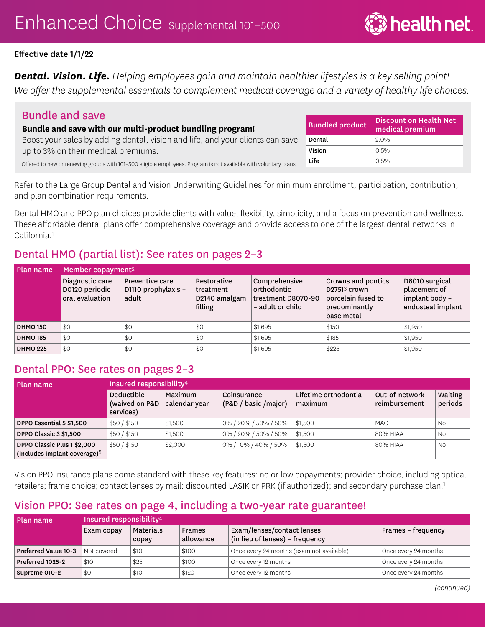*Dental. Vision. Life. Helping employees gain and maintain healthier lifestyles is a key selling point! We offer the supplemental essentials to complement medical coverage and a variety of healthy life choices.* 

## Bundle and save

#### **Bundle and save with our multi-product bundling program!**

Boost your sales by adding dental, vision and life, and your clients can save up to 3% on their medical premiums.

Offered to new or renewing groups with 101–500 eligible employees. Program is not available with voluntary plans.

Refer to the Large Group Dental and Vision Underwriting Guidelines for minimum enrollment, participation, contribution, and plan combination requirements.

Dental HMO and PPO plan choices provide clients with value, flexibility, simplicity, and a focus on prevention and wellness. These affordable dental plans offer comprehensive coverage and provide access to one of the largest dental networks in California<sup>1</sup>

# Dental HMO (partial list): See rates on pages 2–3

| Plan name       | Member copayment $2\,$                               |                                                        |                                                      |                                                                        |                                                                                                            |                                                                       |  |  |  |  |
|-----------------|------------------------------------------------------|--------------------------------------------------------|------------------------------------------------------|------------------------------------------------------------------------|------------------------------------------------------------------------------------------------------------|-----------------------------------------------------------------------|--|--|--|--|
|                 | Diagnostic care<br>D0120 periodic<br>oral evaluation | <b>Preventive care</b><br>D1110 prophylaxis -<br>adult | Restorative<br>treatment<br>D2140 amalgam<br>filling | Comprehensive<br>orthodontic<br>treatment D8070-90<br>- adult or child | <b>Crowns and pontics</b><br>D2751 <sup>3</sup> crown<br>porcelain fused to<br>predominantly<br>base metal | D6010 surgical<br>placement of<br>implant body -<br>endosteal implant |  |  |  |  |
| <b>DHMO 150</b> | \$0                                                  | \$0                                                    | \$0                                                  | \$1,695                                                                | \$150                                                                                                      | \$1,950                                                               |  |  |  |  |
| <b>DHMO 185</b> | \$0                                                  | \$0                                                    | \$0                                                  | \$1,695                                                                | \$185                                                                                                      | \$1,950                                                               |  |  |  |  |
| <b>DHMO 225</b> | \$0                                                  | \$0                                                    | \$0                                                  | \$1,695                                                                | \$225                                                                                                      | \$1,950                                                               |  |  |  |  |

## Dental PPO: See rates on pages 2–3

| Plan name                       |                                                  |                          |                                     |                                 |                                 |                    |
|---------------------------------|--------------------------------------------------|--------------------------|-------------------------------------|---------------------------------|---------------------------------|--------------------|
|                                 | <b>Deductible</b><br>(waived on P&D<br>services) | Maximum<br>calendar year | Coinsurance<br>(P&D / basic /major) | Lifetime orthodontia<br>maximum | Out-of-network<br>reimbursement | Waiting<br>periods |
| DPPO Essential 5 \$1,500        | \$50/\$150                                       | \$1,500                  | 0% / 20% / 50% / 50%                | \$1,500                         | <b>MAC</b>                      | No                 |
| DPPO Classic 3 \$1,500          | \$50/\$150                                       | \$1,500                  | 0% / 20% / 50% / 50%                | \$1,500                         | 80% HIAA                        | No                 |
| DPPO Classic Plus 1 \$2,000     | \$50/\$150                                       | \$2,000                  | 0% / 10% / 40% / 50%                | \$1,500                         | 80% HIAA                        | <b>No</b>          |
| (includes implant coverage) $5$ |                                                  |                          |                                     |                                 |                                 |                    |

Vision PPO insurance plans come standard with these key features: no or low copayments; provider choice, including optical retailers; frame choice; contact lenses by mail; discounted LASIK or PRK (if authorized); and secondary purchase plan.<sup>1</sup>

# Vision PPO: See rates on page 4, including a two-year rate guarantee!

| Plan name            | Insured responsibility <sup>4</sup> |                    |                            |                                                               |                      |  |  |  |  |
|----------------------|-------------------------------------|--------------------|----------------------------|---------------------------------------------------------------|----------------------|--|--|--|--|
|                      | Exam copay                          | Materials<br>copay | <b>Frames</b><br>allowance | Exam/lenses/contact lenses<br>(in lieu of lenses) - frequency | Frames - frequency   |  |  |  |  |
| Preferred Value 10-3 | Not covered                         | \$10               | \$100                      | Once every 24 months (exam not available)                     | Once every 24 months |  |  |  |  |
| Preferred 1025-2     | \$10                                | \$25               | \$100                      | Once every 12 months                                          | Once every 24 months |  |  |  |  |
| Supreme 010-2        | \$0                                 | \$10               | \$120                      | Once every 12 months                                          | Once every 24 months |  |  |  |  |

| <b>Bundled product</b> | Discount on Health Net<br>medical premium |
|------------------------|-------------------------------------------|
| Dental                 | 20%                                       |
| Vision                 | $0.5\%$                                   |
| l ife                  | $0.5\%$                                   |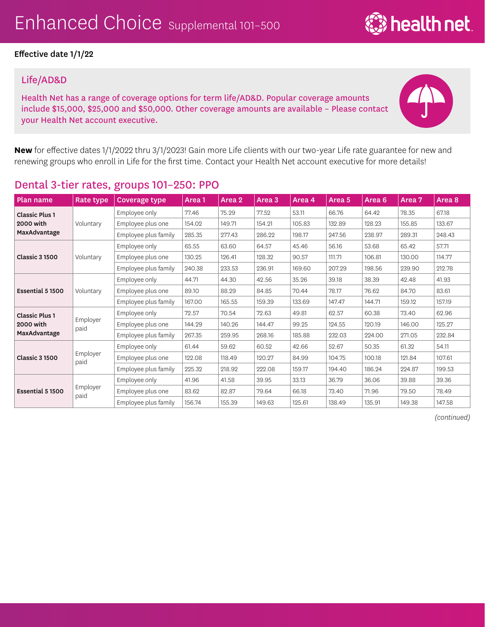#### Life/AD&D

Health Net has a range of coverage options for term life/AD&D. Popular coverage amounts include \$15,000, \$25,000 and \$50,000. Other coverage amounts are available – Please contact your Health Net account executive.



**्रि** health net

**New** for effective dates 1/1/2022 thru 3/1/2023! Gain more Life clients with our two-year Life rate guarantee for new and renewing groups who enroll in Life for the first time. Contact your Health Net account executive for more details!

| Plan name             | Rate type        | <b>Coverage type</b> | Area 1 | Area 2 | Area <sub>3</sub> | Area 4 | Area 5 | Area <sub>6</sub> | Area 7 | Area 8 |
|-----------------------|------------------|----------------------|--------|--------|-------------------|--------|--------|-------------------|--------|--------|
| <b>Classic Plus 1</b> |                  | Employee only        | 77.46  | 75.29  | 77.52             | 53.11  | 66.76  | 64.42             | 78.35  | 67.18  |
| 2000 with             | Voluntary        | Employee plus one    | 154.02 | 149.71 | 154.21            | 105.83 | 132.89 | 128.23            | 155.85 | 133.67 |
| MaxAdvantage          |                  | Employee plus family | 285.35 | 277.43 | 286.22            | 198.17 | 247.56 | 238.97            | 289.31 | 248.43 |
|                       |                  | Employee only        | 65.55  | 63.60  | 64.57             | 45.46  | 56.16  | 53.68             | 65.42  | 57.71  |
| <b>Classic 3 1500</b> | Voluntary        | Employee plus one    | 130.25 | 126.41 | 128.32            | 90.57  | 111.71 | 106.81            | 130.00 | 114.77 |
|                       |                  | Employee plus family | 240.38 | 233.53 | 236.91            | 169.60 | 207.29 | 198.56            | 239.90 | 212.78 |
| Essential 5 1500      |                  | Employee only        | 44.71  | 44.30  | 42.56             | 35.26  | 39.18  | 38.39             | 42.48  | 41.93  |
|                       | Voluntary        | Employee plus one    | 89.10  | 88.29  | 84.85             | 70.44  | 78.17  | 76.62             | 84.70  | 83.61  |
|                       |                  | Employee plus family | 167.00 | 165.55 | 159.39            | 133.69 | 147.47 | 144.71            | 159.12 | 157.19 |
| <b>Classic Plus 1</b> |                  | Employee only        | 72.57  | 70.54  | 72.63             | 49.81  | 62.57  | 60.38             | 73.40  | 62.96  |
| 2000 with             | Employer<br>paid | Employee plus one    | 144.29 | 140.26 | 144.47            | 99.25  | 124.55 | 120.19            | 146.00 | 125.27 |
| MaxAdvantage          |                  | Employee plus family | 267.35 | 259.95 | 268.16            | 185.88 | 232.03 | 224.00            | 271.05 | 232.84 |
|                       |                  | Employee only        | 61.44  | 59.62  | 60.52             | 42.66  | 52.67  | 50.35             | 61.32  | 54.11  |
| <b>Classic 3 1500</b> | Employer<br>paid | Employee plus one    | 122.08 | 118.49 | 120.27            | 84.99  | 104.75 | 100.18            | 121.84 | 107.61 |
|                       |                  | Employee plus family | 225.32 | 218.92 | 222.08            | 159.17 | 194.40 | 186.24            | 224.87 | 199.53 |
|                       |                  | Employee only        | 41.96  | 41.58  | 39.95             | 33.13  | 36.79  | 36.06             | 39.88  | 39.36  |
| Essential 5 1500      | Employer<br>paid | Employee plus one    | 83.62  | 82.87  | 79.64             | 66.18  | 73.40  | 71.96             | 79.50  | 78.49  |
|                       |                  | Employee plus family | 156.74 | 155.39 | 149.63            | 125.61 | 138.49 | 135.91            | 149.38 | 147.58 |

## Dental 3-tier rates, groups 101–250: PPO

*(continued)*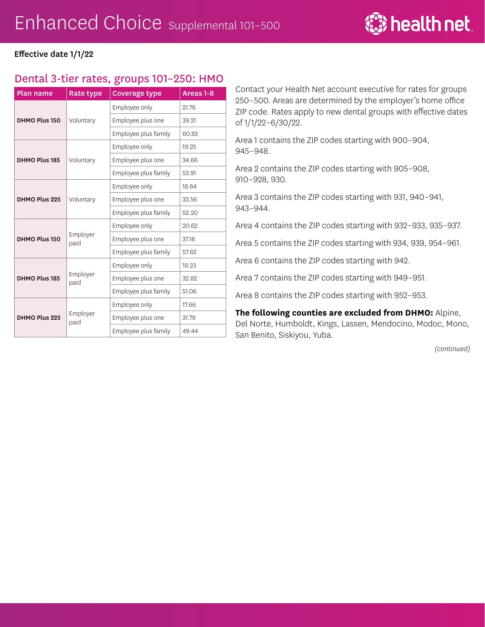

### Dental 3-tier rates, groups 101–250: HMO

| <b>Plan name</b> | Rate type        | Areas 1-8            |       |
|------------------|------------------|----------------------|-------|
|                  |                  | Employee only        | 21.76 |
| DHMO Plus 150    | Voluntary        | Employee plus one    | 39.21 |
|                  |                  | Employee plus family | 60.83 |
|                  |                  | Employee only        | 19.25 |
| DHMO Plus 185    | Voluntary        | Employee plus one    | 34.66 |
|                  |                  | Employee plus family | 53.91 |
|                  |                  | Employee only        | 18.64 |
| DHMO Plus 225    | Voluntary        | Employee plus one    | 33.56 |
|                  |                  | Employee plus family | 52.20 |
|                  |                  | Employee only        | 20.62 |
| DHMO Plus 150    | Employer<br>paid | Employee plus one    | 37.16 |
|                  |                  | Employee plus family | 57.62 |
|                  |                  | Employee only        | 18.23 |
| DHMO Plus 185    | Employer<br>paid | Employee plus one    | 32.82 |
|                  |                  | Employee plus family | 51.06 |
|                  |                  | Employee only        | 17.66 |
| DHMO Plus 225    | Employer<br>paid | Employee plus one    | 31.79 |
|                  |                  | Employee plus family | 49.44 |

Contact your Health Net account executive for rates for groups 250–500. Areas are determined by the employer's home office ZIP code. Rates apply to new dental groups with effective dates of 1/1/22–6/30/22.

Area 1 contains the ZIP codes starting with 900–904, 945–948.

Area 2 contains the ZIP codes starting with 905–908, 910–928, 930.

Area 3 contains the ZIP codes starting with 931, 940–941, 943–944.

Area 4 contains the ZIP codes starting with 932–933, 935–937.

Area 5 contains the ZIP codes starting with 934, 939, 954–961.

Area 6 contains the ZIP codes starting with 942.

Area 7 contains the ZIP codes starting with 949–951.

Area 8 contains the ZIP codes starting with 952–953.

**The following counties are excluded from DHMO:** Alpine, Del Norte, Humboldt, Kings, Lassen, Mendocino, Modoc, Mono, San Benito, Siskiyou, Yuba.

*(continued)*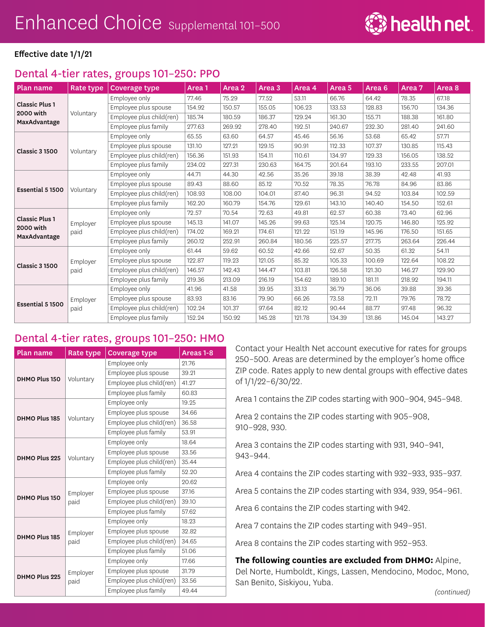# Dental 4-tier rates, groups 101–250: PPO

| <b>Plan name</b>                   | Rate type        | Coverage type            | Area <sub>1</sub> | Area 2 | Area <sub>3</sub> | Area 4 | Area <sub>5</sub> | Area <sub>6</sub> | Area 7 | Area <sub>8</sub> |
|------------------------------------|------------------|--------------------------|-------------------|--------|-------------------|--------|-------------------|-------------------|--------|-------------------|
|                                    |                  | Employee only            | 77.46             | 75.29  | 77.52             | 53.11  | 66.76             | 64.42             | 78.35  | 67.18             |
| <b>Classic Plus 1</b>              |                  | Employee plus spouse     | 154.92            | 150.57 | 155.05            | 106.23 | 133.53            | 128.83            | 156.70 | 134.36            |
| 2000 with<br>MaxAdvantage          | Voluntary        | Employee plus child(ren) | 185.74            | 180.59 | 186.37            | 129.24 | 161.30            | 155.71            | 188.38 | 161.80            |
|                                    |                  | Employee plus family     | 277.63            | 269.92 | 278.40            | 192.51 | 240.67            | 232.30            | 281.40 | 241.60            |
|                                    |                  | Employee only            | 65.55             | 63.60  | 64.57             | 45.46  | 56.16             | 53.68             | 65.42  | 57.71             |
|                                    |                  | Employee plus spouse     | 131.10            | 127.21 | 129.15            | 90.91  | 112.33            | 107.37            | 130.85 | 115.43            |
| <b>Classic 3 1500</b>              | Voluntary        | Employee plus child(ren) | 156.36            | 151.93 | 154.11            | 110.61 | 134.97            | 129.33            | 156.05 | 138.52            |
|                                    |                  | Employee plus family     | 234.02            | 227.31 | 230.63            | 164.75 | 201.64            | 193.10            | 233.55 | 207.01            |
|                                    |                  | Employee only            | 44.71             | 44.30  | 42.56             | 35.26  | 39.18             | 38.39             | 42.48  | 41.93             |
| Essential 5 1500                   |                  | Employee plus spouse     | 89.43             | 88.60  | 85.12             | 70.52  | 78.35             | 76.78             | 84.96  | 83.86             |
|                                    | Voluntary        | Employee plus child(ren) | 108.93            | 108.00 | 104.01            | 87.40  | 96.31             | 94.52             | 103.84 | 102.59            |
|                                    |                  | Employee plus family     | 162.20            | 160.79 | 154.76            | 129.61 | 143.10            | 140.40            | 154.50 | 152.61            |
|                                    | Employer<br>paid | Employee only            | 72.57             | 70.54  | 72.63             | 49.81  | 62.57             | 60.38             | 73.40  | 62.96             |
| <b>Classic Plus 1</b><br>2000 with |                  | Employee plus spouse     | 145.13            | 141.07 | 145.26            | 99.63  | 125.14            | 120.75            | 146.80 | 125.92            |
| MaxAdvantage                       |                  | Employee plus child(ren) | 174.02            | 169.21 | 174.61            | 121.22 | 151.19            | 145.96            | 176.50 | 151.65            |
|                                    |                  | Employee plus family     | 260.12            | 252.91 | 260.84            | 180.56 | 225.57            | 217.75            | 263.64 | 226.44            |
|                                    |                  | Employee only            | 61.44             | 59.62  | 60.52             | 42.66  | 52.67             | 50.35             | 61.32  | 54.11             |
| <b>Classic 3 1500</b>              | Employer         | Employee plus spouse     | 122.87            | 119.23 | 121.05            | 85.32  | 105.33            | 100.69            | 122.64 | 108.22            |
|                                    | paid             | Employee plus child(ren) | 146.57            | 142.43 | 144.47            | 103.81 | 126.58            | 121.30            | 146.27 | 129.90            |
|                                    |                  | Employee plus family     | 219.36            | 213.09 | 216.19            | 154.62 | 189.10            | 181.11            | 218.92 | 194.11            |
|                                    |                  | Employee only            | 41.96             | 41.58  | 39.95             | 33.13  | 36.79             | 36.06             | 39.88  | 39.36             |
| Essential 5 1500                   | Employer         | Employee plus spouse     | 83.93             | 83.16  | 79.90             | 66.26  | 73.58             | 72.11             | 79.76  | 78.72             |
|                                    | paid             | Employee plus child(ren) | 102.24            | 101.37 | 97.64             | 82.12  | 90.44             | 88.77             | 97.48  | 96.32             |
|                                    |                  | Employee plus family     | 152.24            | 150.92 | 145.28            | 121.78 | 134.39            | 131.86            | 145.04 | 143.27            |

## Dental 4-tier rates, groups 101–250: HMO

| <b>Plan name</b> | Rate type        | <b>Coverage type</b>     | Areas 1-8 |
|------------------|------------------|--------------------------|-----------|
|                  |                  | Employee only            | 21.76     |
|                  |                  | Employee plus spouse     | 39.21     |
| DHMO Plus 150    | Voluntary        | Employee plus child(ren) | 41.27     |
|                  |                  | Employee plus family     | 60.83     |
|                  |                  | Employee only            | 19.25     |
|                  |                  | Employee plus spouse     | 34.66     |
| DHMO Plus 185    | Voluntary        | Employee plus child(ren) | 36.58     |
|                  |                  | Employee plus family     | 53.91     |
|                  |                  | Employee only            | 18.64     |
|                  | Voluntary        | Employee plus spouse     | 33.56     |
| DHMO Plus 225    |                  | Employee plus child(ren) | 35.44     |
|                  |                  | Employee plus family     | 52.20     |
|                  | Employer<br>paid | Employee only            | 20.62     |
|                  |                  | Employee plus spouse     | 37.16     |
| DHMO Plus 150    |                  | Employee plus child(ren) | 39.10     |
|                  |                  | Employee plus family     | 57.62     |
|                  |                  | Employee only            | 18.23     |
|                  | Employer         | Employee plus spouse     | 32.82     |
| DHMO Plus 185    | paid             | Employee plus child(ren) | 34.65     |
|                  |                  | Employee plus family     | 51.06     |
|                  |                  | Employee only            | 17.66     |
|                  | Employer         | Employee plus spouse     | 31.79     |
| DHMO Plus 225    | paid             | Employee plus child(ren) | 33.56     |
|                  |                  | Employee plus family     | 49.44     |

Contact your Health Net account executive for rates for groups 250–500. Areas are determined by the employer's home office ZIP code. Rates apply to new dental groups with effective dates of 1/1/22–6/30/22.

Area 1 contains the ZIP codes starting with 900–904, 945–948.

Area 2 contains the ZIP codes starting with 905–908, 910–928, 930.

Area 3 contains the ZIP codes starting with 931, 940–941, 943–944.

Area 4 contains the ZIP codes starting with 932–933, 935–937.

Area 5 contains the ZIP codes starting with 934, 939, 954–961.

Area 6 contains the ZIP codes starting with 942.

Area 7 contains the ZIP codes starting with 949–951.

Area 8 contains the ZIP codes starting with 952–953.

**The following counties are excluded from DHMO:** Alpine, Del Norte, Humboldt, Kings, Lassen, Mendocino, Modoc, Mono, San Benito, Siskiyou, Yuba.